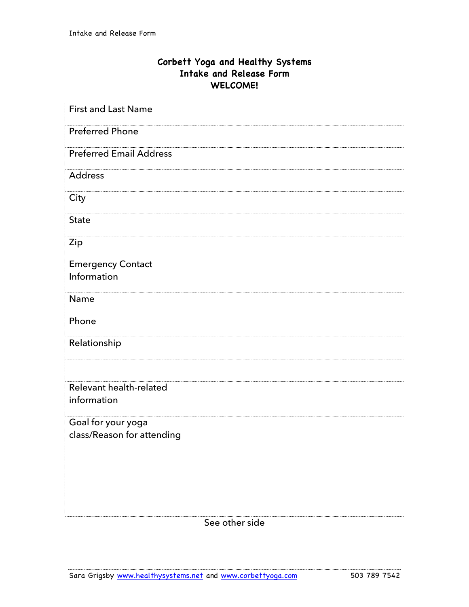## **Corbett Yoga and Healthy Systems Intake and Release Form WELCOME!**

| <b>First and Last Name</b>     |
|--------------------------------|
| <b>Preferred Phone</b>         |
| <b>Preferred Email Address</b> |
| Address                        |
| City                           |
| <b>State</b>                   |
| Zip                            |
| <b>Emergency Contact</b>       |
| Information                    |
| Name                           |
| Phone                          |
| Relationship                   |
| Relevant health-related        |
| information                    |
| Goal for your yoga             |
| class/Reason for attending     |
|                                |
|                                |
|                                |

See other side